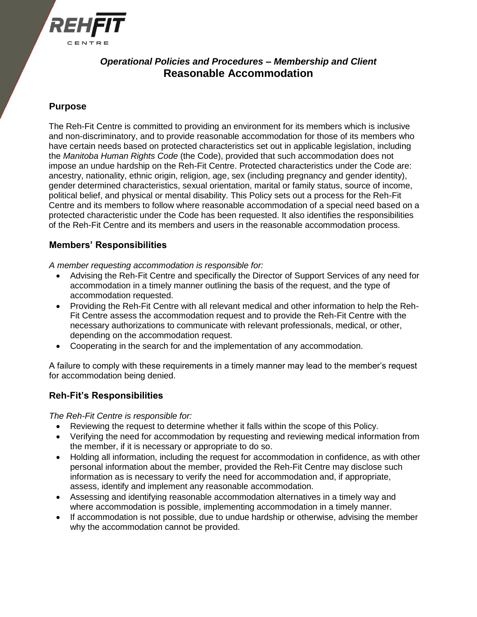

# *Operational Policies and Procedures – Membership and Client* **Reasonable Accommodation**

## **Purpose**

The Reh-Fit Centre is committed to providing an environment for its members which is inclusive and non-discriminatory, and to provide reasonable accommodation for those of its members who have certain needs based on protected characteristics set out in applicable legislation, including the *Manitoba Human Rights Code* (the Code), provided that such accommodation does not impose an undue hardship on the Reh-Fit Centre. Protected characteristics under the Code are: ancestry, nationality, ethnic origin, religion, age, sex (including pregnancy and gender identity), gender determined characteristics, sexual orientation, marital or family status, source of income, political belief, and physical or mental disability. This Policy sets out a process for the Reh-Fit Centre and its members to follow where reasonable accommodation of a special need based on a protected characteristic under the Code has been requested. It also identifies the responsibilities of the Reh-Fit Centre and its members and users in the reasonable accommodation process.

### **Members' Responsibilities**

*A member requesting accommodation is responsible for:*

- Advising the Reh-Fit Centre and specifically the Director of Support Services of any need for accommodation in a timely manner outlining the basis of the request, and the type of accommodation requested.
- Providing the Reh-Fit Centre with all relevant medical and other information to help the Reh-Fit Centre assess the accommodation request and to provide the Reh-Fit Centre with the necessary authorizations to communicate with relevant professionals, medical, or other, depending on the accommodation request.
- Cooperating in the search for and the implementation of any accommodation.

A failure to comply with these requirements in a timely manner may lead to the member's request for accommodation being denied.

### **Reh-Fit's Responsibilities**

*The Reh-Fit Centre is responsible for:*

- Reviewing the request to determine whether it falls within the scope of this Policy.
- Verifying the need for accommodation by requesting and reviewing medical information from the member, if it is necessary or appropriate to do so.
- Holding all information, including the request for accommodation in confidence, as with other personal information about the member, provided the Reh-Fit Centre may disclose such information as is necessary to verify the need for accommodation and, if appropriate, assess, identify and implement any reasonable accommodation.
- Assessing and identifying reasonable accommodation alternatives in a timely way and where accommodation is possible, implementing accommodation in a timely manner.
- If accommodation is not possible, due to undue hardship or otherwise, advising the member why the accommodation cannot be provided.